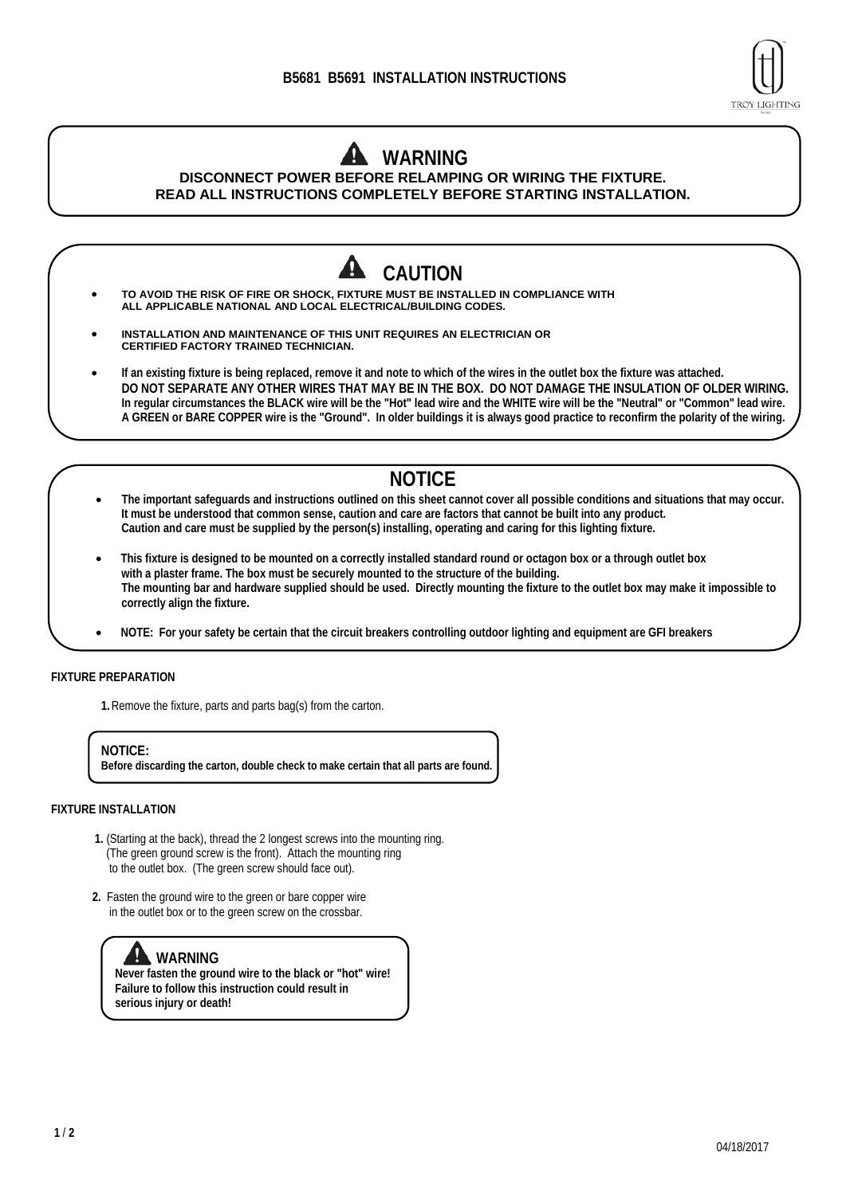

## **WARNING DISCONNECT POWER BEFORE RELAMPING OR WIRING THE FIXTURE. READ ALL INSTRUCTIONS COMPLETELY BEFORE STARTING INSTALLATION.**



# **NOTICE**

- **The important safeguards and instructions outlined on this sheet cannot cover all possible conditions and situations that may occur. It must be understood that common sense, caution and care are factors that cannot be built into any product. Caution and care must be supplied by the person(s) installing, operating and caring for this lighting fixture.**
- **This fixture is designed to be mounted on a correctly installed standard round or octagon box or a through outlet box with a plaster frame. The box must be securely mounted to the structure of the building. The mounting bar and hardware supplied should be used. Directly mounting the fixture to the outlet box may make it impossible to correctly align the fixture.**
- **NOTE: For your safety be certain that the circuit breakers controlling outdoor lighting and equipment are GFI breakers**

#### **FIXTURE PREPARATION**

**1.**Remove the fixture, parts and parts bag(s) from the carton.

**NOTICE: Before discarding the carton, double check to make certain that all parts are found.** 

#### **FIXTURE INSTALLATION**

- **1.** (Starting at the back), thread the 2 longest screws into the mounting ring. (The green ground screw is the front). Attach the mounting ring to the outlet box. (The green screw should face out).
- **2.** Fasten the ground wire to the green or bare copper wire in the outlet box or to the green screw on the crossbar.

### **WARNING**

**Never fasten the ground wire to the black or "hot" wire! Failure to follow this instruction could result in serious injury or death!**